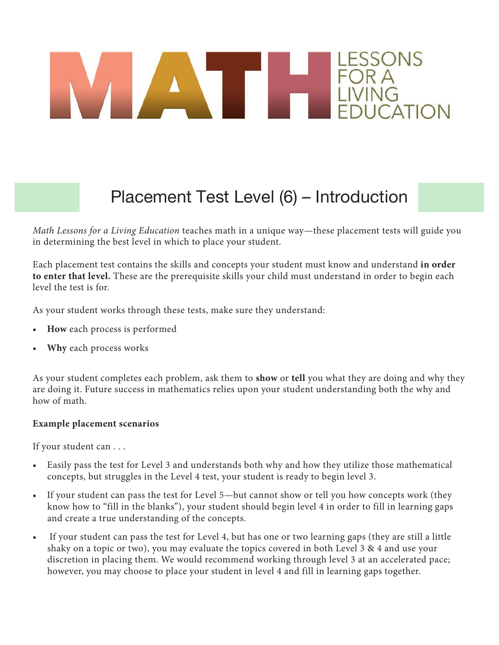# ESSONS

### Placement Test Level (6) – Introduction

*Math Lessons for a Living Education* teaches math in a unique way—these placement tests will guide you in determining the best level in which to place your student.

Each placement test contains the skills and concepts your student must know and understand **in order to enter that level.** These are the prerequisite skills your child must understand in order to begin each level the test is for.

As your student works through these tests, make sure they understand:

- **How** each process is performed
- **Why** each process works

As your student completes each problem, ask them to **show** or **tell** you what they are doing and why they are doing it. Future success in mathematics relies upon your student understanding both the why and how of math.

#### **Example placement scenarios**

If your student can . . .

- Easily pass the test for Level 3 and understands both why and how they utilize those mathematical concepts, but struggles in the Level 4 test, your student is ready to begin level 3.
- If your student can pass the test for Level 5—but cannot show or tell you how concepts work (they know how to "fill in the blanks"), your student should begin level 4 in order to fill in learning gaps and create a true understanding of the concepts.
- If your student can pass the test for Level 4, but has one or two learning gaps (they are still a little shaky on a topic or two), you may evaluate the topics covered in both Level 3 & 4 and use your discretion in placing them. We would recommend working through level 3 at an accelerated pace; however, you may choose to place your student in level 4 and fill in learning gaps together.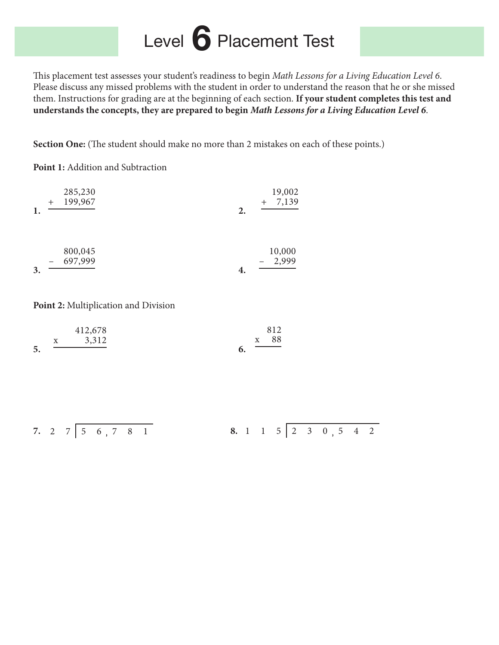## Level **6** Placement Test

This placement test assesses your student's readiness to begin Math Lessons for a Living Education Level 6. Please discuss any missed problems with the student in order to understand the reason that he or she missed them. Instructions for grading are at the beginning of each section. **If your student completes this test and understands the concepts, they are prepared to begin** *Math Lessons for a Living Education Level 6*.

**Section One:** (The student should make no more than 2 mistakes on each of these points.)

**Point 1:** Addition and Subtraction

| 1. | 285,230<br>199,967 | 2. | 19,002<br>7,139<br>$^{+}$ |
|----|--------------------|----|---------------------------|
| 3. | 800,045<br>697,999 | 4. | 10,000<br>2,999           |

Point 2: Multiplication and Division

|    |              | 412,678 |              | 812  |
|----|--------------|---------|--------------|------|
|    | $\mathbf{X}$ | 3,312   | $\mathbf{X}$ | - 88 |
| 5. |              |         |              |      |

**7. 2 7 5 6 , 7 8 1 8. 1 1 5 2 3 0 , 5 4 2**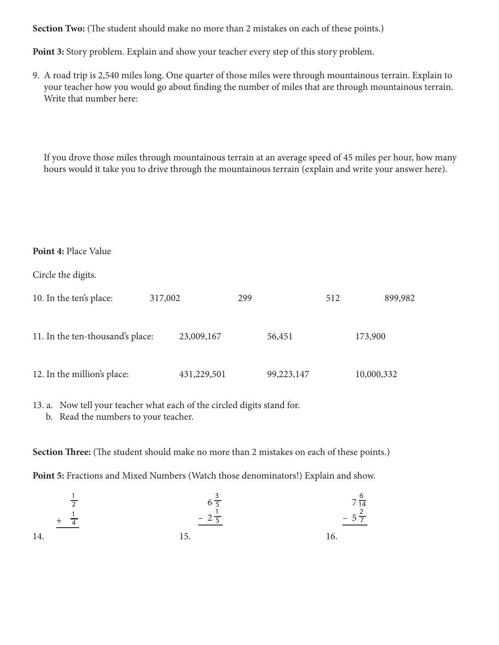**Section Two:** (The student should make no more than 2 mistakes on each of these points.)

**Point 3:** Story problem. Explain and show your teacher every step of this story problem.

9. A road trip is 2,540 miles long. One quarter of those miles were through mountainous terrain. Explain to your teacher how you would go about fnding the number of miles that are through mountainous terrain. Write that number here:

 If you drove those miles through mountainous terrain at an average speed of 45 miles per hour, how many hours would it take you to drive through the mountainous terrain (explain and write your answer here).

#### **Point 4:** Place Value

Circle the digits.

| 10. In the ten's place:          | 317,002     | 299        | 899,982<br>512 |
|----------------------------------|-------------|------------|----------------|
| 11. In the ten-thousand's place: | 23,009,167  | 56,451     | 173,900        |
| 12. In the million's place:      | 431,229,501 | 99,223,147 | 10,000,332     |

13. a. Now tell your teacher what each of the circled digits stand for.

b. Read the numbers to your teacher.

**Section Three:** (The student should make no more than 2 mistakes on each of these points.)

**Point 5:** Fractions and Mixed Numbers (Watch those denominators!) Explain and show.

$$
\frac{\frac{1}{2}}{14.} \frac{6\frac{3}{5}}{15.} \frac{7\frac{6}{14}}{16.} \frac{7\frac{6}{14}}{16.}
$$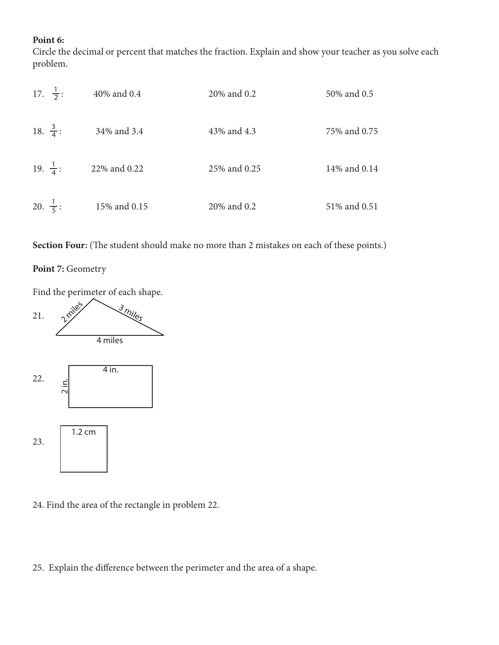#### **Point 6:**

Circle the decimal or percent that matches the fraction. Explain and show your teacher as you solve each problem.

| 17. $\frac{1}{2}$ : | 40% and 0.4  | 20% and 0.2  | 50% and 0.5  |
|---------------------|--------------|--------------|--------------|
| 18. $\frac{3}{4}$ : | 34% and 3.4  | 43% and 4.3  | 75% and 0.75 |
| 19. $\frac{1}{4}$ : | 22% and 0.22 | 25% and 0.25 | 14% and 0.14 |
| 20. $\frac{1}{5}$ : | 15% and 0.15 | 20% and 0.2  | 51% and 0.51 |

Section Four: (The student should make no more than 2 mistakes on each of these points.)

#### Point 7: Geometry



- 24. Find the area of the rectangle in problem 22.
- 25. Explain the diference between the perimeter and the area of a shape.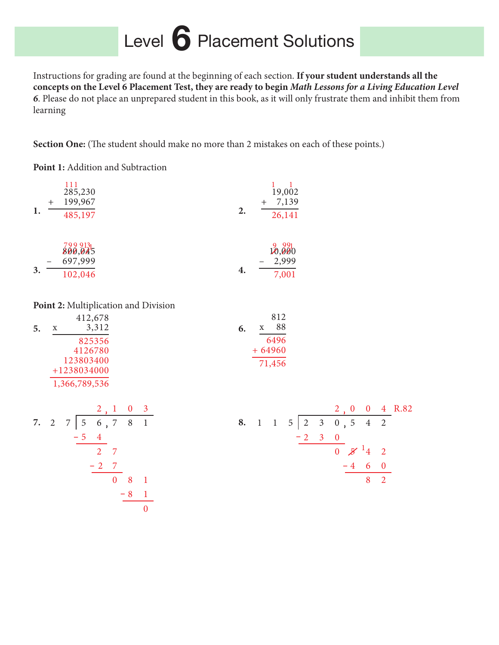## Level **6** Placement Solutions

Instructions for grading are found at the beginning of each section. **If your student understands all the concepts on the Level 6 Placement Test, they are ready to begin** *Math Lessons for a Living Education Level 6*. Please do not place an unprepared student in this book, as it will only frustrate them and inhibit them from learning

**Section One:** (The student should make no more than 2 mistakes on each of these points.)

**Point 1:** Addition and Subtraction

| 1. | $^{+}$ | 111<br>285,230<br>199,967      |    | 19,002<br>7,139 |  |  |
|----|--------|--------------------------------|----|-----------------|--|--|
|    |        | 485,197                        | 2. | 26,141          |  |  |
|    |        | 7999131-<br>800,045<br>697,999 |    | 20,000<br>2,999 |  |  |
| 3. |        | 102,046                        | 4. | 7,001           |  |  |

Point 2: Multiplication and Division

|    |            | 412,678       |         |  | 812      |  |
|----|------------|---------------|---------|--|----------|--|
| 5. | 3,312<br>X |               | X<br>6. |  |          |  |
|    |            | 825356        |         |  | 6496     |  |
|    |            | 4126780       |         |  | $+64960$ |  |
|    |            | 123803400     |         |  | 71,456   |  |
|    |            | $+1238034000$ |         |  |          |  |
|    |            | 1,366,789,536 |         |  |          |  |

7. 2 7 
$$
\begin{array}{|c|c|c|}\n\hline\n2 & 1 & 0 & 3 \\
7 & 5 & 6 & 7 & 8 & 1 \\
\hline\n& 2 & 7 & & \\
& & 2 & 7 & \\
\hline\n& 0 & 8 & 1 & \\
& & & 0 & \\
\hline\n& 0 & & & \\
\hline\n& 0 & & & \\
\hline\n\end{array}
$$

|  |                       |          |  |                            |                | $2, 0$ 0 4 R.82 |
|--|-----------------------|----------|--|----------------------------|----------------|-----------------|
|  | 8. 1 1 5 2 3 0, 5 4 2 |          |  |                            |                |                 |
|  |                       | $-2$ 3 0 |  |                            |                |                 |
|  |                       |          |  | 0 $\cancel{5}$ $^{-1}$ 4 2 |                |                 |
|  |                       |          |  | $-4$ 6 0                   |                |                 |
|  |                       |          |  |                            | 8 <sup>2</sup> |                 |
|  |                       |          |  |                            |                |                 |
|  |                       |          |  |                            |                |                 |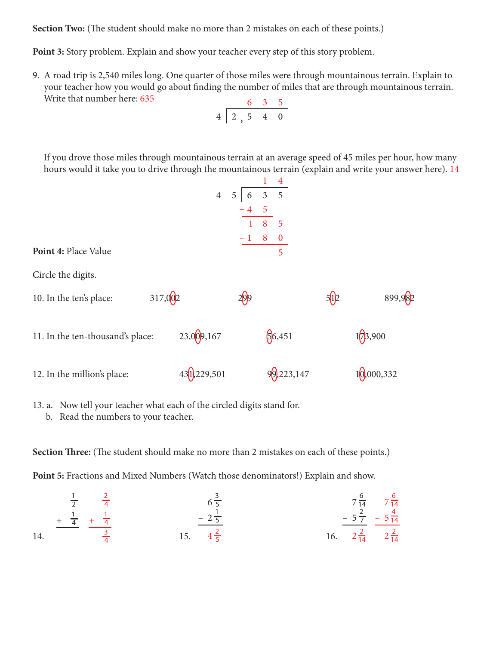**Section Two:** (The student should make no more than 2 mistakes on each of these points.)

**Point 3:** Story problem. Explain and show your teacher every step of this story problem.

9. A road trip is 2,540 miles long. One quarter of those miles were through mountainous terrain. Explain to your teacher how you would go about fnding the number of miles that are through mountainous terrain. Write that number here: 635

$$
\begin{array}{c|cccc}\n & 6 & 3 & 5 \\
4 & 2 & 5 & 4 & 0 \\
\end{array}
$$

 If you drove those miles through mountainous terrain at an average speed of 45 miles per hour, how many hours would it take you to drive through the mountainous terrain (explain and write your answer here). 14

|                                  |         |                              |                          | $\overline{4}$ |      |            |  |
|----------------------------------|---------|------------------------------|--------------------------|----------------|------|------------|--|
|                                  |         | $\overline{4}$               | $5 \mid 6 \mid 3 \mid 5$ |                |      |            |  |
|                                  |         |                              | $-4$ 5                   |                |      |            |  |
|                                  |         |                              | 1                        | 8<br>5         |      |            |  |
|                                  |         |                              |                          | $-1$ 8 0       |      |            |  |
| Point 4: Place Value             |         |                              |                          | 5              |      |            |  |
| Circle the digits.               |         |                              |                          |                |      |            |  |
| 10. In the ten's place:          | 317,002 |                              |                          |                | 5(p) | 899,982    |  |
| 11. In the ten-thousand's place: |         | 23,009,167                   |                          | 66,451         |      | 1/3,900    |  |
| 12. In the million's place:      |         | 43 <sup>(1</sup> ), 229, 501 |                          | 99,223,147     |      | 10,000,332 |  |

13. a. Now tell your teacher what each of the circled digits stand for.

b. Read the numbers to your teacher.

**Section Three:** (The student should make no more than 2 mistakes on each of these points.)

**Point 5:** Fractions and Mixed Numbers (Watch those denominators!) Explain and show.

$$
\frac{1}{2} \quad \frac{2}{4} \quad 6\frac{3}{5}
$$
\n
$$
\frac{1}{14} \quad \frac{1}{4} \quad \frac{1}{4}
$$
\n
$$
\frac{2}{5} \quad \frac{2}{5} \quad \frac{7\frac{6}{14}}{16} \quad \frac{7\frac{6}{14}}{2\frac{2}{14}} \quad \frac{7\frac{6}{14}}{2\frac{2}{14}}
$$
\n
$$
\frac{1}{4} \quad \frac{1}{4} \quad \frac{1}{4} \quad \frac{1}{4} \quad \frac{1}{4} \quad \frac{1}{4} \quad \frac{1}{4} \quad \frac{1}{4} \quad \frac{1}{4} \quad \frac{1}{4} \quad \frac{1}{4} \quad \frac{1}{4} \quad \frac{1}{4} \quad \frac{1}{4} \quad \frac{1}{4} \quad \frac{1}{4} \quad \frac{1}{4} \quad \frac{1}{4} \quad \frac{1}{4} \quad \frac{1}{4} \quad \frac{1}{4} \quad \frac{1}{4} \quad \frac{1}{4} \quad \frac{1}{4} \quad \frac{1}{4} \quad \frac{1}{4} \quad \frac{1}{4} \quad \frac{1}{4} \quad \frac{1}{4} \quad \frac{1}{4} \quad \frac{1}{4} \quad \frac{1}{4} \quad \frac{1}{4} \quad \frac{1}{4} \quad \frac{1}{4} \quad \frac{1}{4} \quad \frac{1}{4} \quad \frac{1}{4} \quad \frac{1}{4} \quad \frac{1}{4} \quad \frac{1}{4} \quad \frac{1}{4} \quad \frac{1}{4} \quad \frac{1}{4} \quad \frac{1}{4} \quad \frac{1}{4} \quad \frac{1}{4} \quad \frac{1}{4} \quad \frac{1}{4} \quad \frac{1}{4} \quad \frac{1}{4} \quad \frac{1}{4} \quad \frac{1}{4} \quad \frac{1}{4} \quad \frac{1}{4} \quad \frac{1}{4} \quad \frac{1}{4} \quad \frac{1}{4} \quad \frac{1}{4} \quad \frac{1}{4} \quad \frac{1}{4} \quad \frac{1}{4} \quad \frac{1}{4} \quad \frac{1}{4} \quad \frac{1}{4} \quad \frac{1}{4} \quad \frac{1}{4}
$$